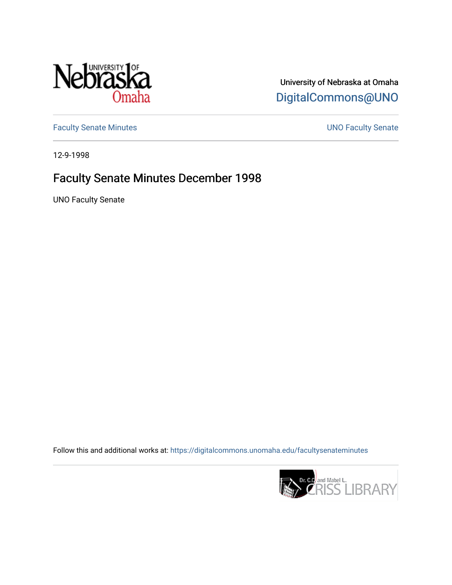

University of Nebraska at Omaha [DigitalCommons@UNO](https://digitalcommons.unomaha.edu/) 

[Faculty Senate Minutes](https://digitalcommons.unomaha.edu/facultysenateminutes) **Exercise Senate UNO Faculty Senate** 

12-9-1998

## Faculty Senate Minutes December 1998

UNO Faculty Senate

Follow this and additional works at: [https://digitalcommons.unomaha.edu/facultysenateminutes](https://digitalcommons.unomaha.edu/facultysenateminutes?utm_source=digitalcommons.unomaha.edu%2Ffacultysenateminutes%2F61&utm_medium=PDF&utm_campaign=PDFCoverPages) 

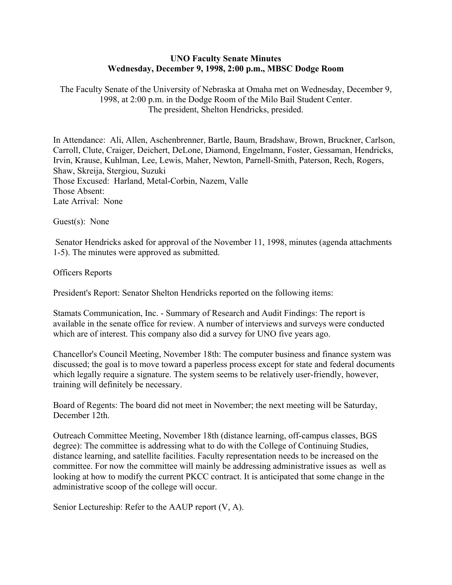## **UNO Faculty Senate Minutes Wednesday, December 9, 1998, 2:00 p.m., MBSC Dodge Room**

The Faculty Senate of the University of Nebraska at Omaha met on Wednesday, December 9, 1998, at 2:00 p.m. in the Dodge Room of the Milo Bail Student Center. The president, Shelton Hendricks, presided.

In Attendance: Ali, Allen, Aschenbrenner, Bartle, Baum, Bradshaw, Brown, Bruckner, Carlson, Carroll, Clute, Craiger, Deichert, DeLone, Diamond, Engelmann, Foster, Gessaman, Hendricks, Irvin, Krause, Kuhlman, Lee, Lewis, Maher, Newton, Parnell-Smith, Paterson, Rech, Rogers, Shaw, Skreija, Stergiou, Suzuki Those Excused: Harland, Metal-Corbin, Nazem, Valle Those Absent: Late Arrival: None

Guest(s): None

Senator Hendricks asked for approval of the November 11, 1998, minutes (agenda attachments 1-5). The minutes were approved as submitted.

Officers Reports

President's Report: Senator Shelton Hendricks reported on the following items:

Stamats Communication, Inc. - Summary of Research and Audit Findings: The report is available in the senate office for review. A number of interviews and surveys were conducted which are of interest. This company also did a survey for UNO five years ago.

Chancellor's Council Meeting, November 18th: The computer business and finance system was discussed; the goal is to move toward a paperless process except for state and federal documents which legally require a signature. The system seems to be relatively user-friendly, however, training will definitely be necessary.

Board of Regents: The board did not meet in November; the next meeting will be Saturday, December 12th.

Outreach Committee Meeting, November 18th (distance learning, off-campus classes, BGS degree): The committee is addressing what to do with the College of Continuing Studies, distance learning, and satellite facilities. Faculty representation needs to be increased on the committee. For now the committee will mainly be addressing administrative issues as well as looking at how to modify the current PKCC contract. It is anticipated that some change in the administrative scoop of the college will occur.

Senior Lectureship: Refer to the AAUP report (V, A).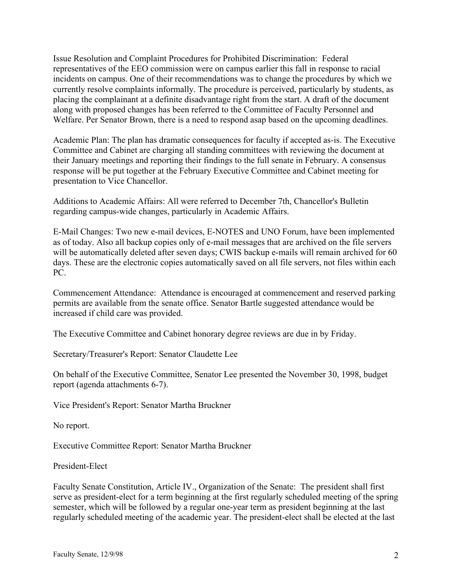Issue Resolution and Complaint Procedures for Prohibited Discrimination: Federal representatives of the EEO commission were on campus earlier this fall in response to racial incidents on campus. One of their recommendations was to change the procedures by which we currently resolve complaints informally. The procedure is perceived, particularly by students, as placing the complainant at a definite disadvantage right from the start. A draft of the document along with proposed changes has been referred to the Committee of Faculty Personnel and Welfare. Per Senator Brown, there is a need to respond asap based on the upcoming deadlines.

Academic Plan: The plan has dramatic consequences for faculty if accepted as-is. The Executive Committee and Cabinet are charging all standing committees with reviewing the document at their January meetings and reporting their findings to the full senate in February. A consensus response will be put together at the February Executive Committee and Cabinet meeting for presentation to Vice Chancellor.

Additions to Academic Affairs: All were referred to December 7th, Chancellor's Bulletin regarding campus-wide changes, particularly in Academic Affairs.

E-Mail Changes: Two new e-mail devices, E-NOTES and UNO Forum, have been implemented as of today. Also all backup copies only of e-mail messages that are archived on the file servers will be automatically deleted after seven days; CWIS backup e-mails will remain archived for 60 days. These are the electronic copies automatically saved on all file servers, not files within each PC.

Commencement Attendance: Attendance is encouraged at commencement and reserved parking permits are available from the senate office. Senator Bartle suggested attendance would be increased if child care was provided.

The Executive Committee and Cabinet honorary degree reviews are due in by Friday.

Secretary/Treasurer's Report: Senator Claudette Lee

On behalf of the Executive Committee, Senator Lee presented the November 30, 1998, budget report (agenda attachments 6-7).

Vice President's Report: Senator Martha Bruckner

No report.

Executive Committee Report: Senator Martha Bruckner

President-Elect

Faculty Senate Constitution, Article IV., Organization of the Senate: The president shall first serve as president-elect for a term beginning at the first regularly scheduled meeting of the spring semester, which will be followed by a regular one-year term as president beginning at the last regularly scheduled meeting of the academic year. The president-elect shall be elected at the last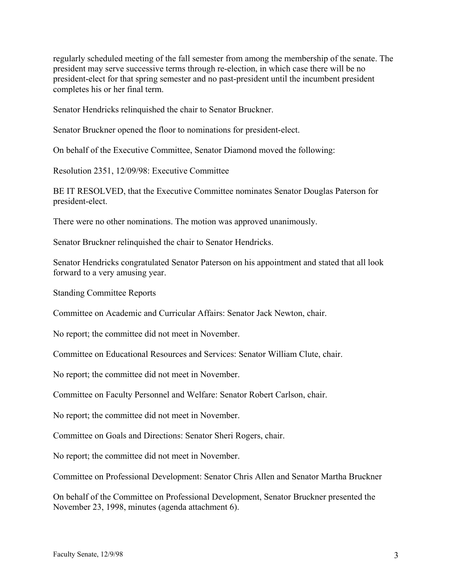regularly scheduled meeting of the fall semester from among the membership of the senate. The president may serve successive terms through re-election, in which case there will be no president-elect for that spring semester and no past-president until the incumbent president completes his or her final term.

Senator Hendricks relinquished the chair to Senator Bruckner.

Senator Bruckner opened the floor to nominations for president-elect.

On behalf of the Executive Committee, Senator Diamond moved the following:

Resolution 2351, 12/09/98: Executive Committee

BE IT RESOLVED, that the Executive Committee nominates Senator Douglas Paterson for president-elect.

There were no other nominations. The motion was approved unanimously.

Senator Bruckner relinquished the chair to Senator Hendricks.

Senator Hendricks congratulated Senator Paterson on his appointment and stated that all look forward to a very amusing year.

Standing Committee Reports

Committee on Academic and Curricular Affairs: Senator Jack Newton, chair.

No report; the committee did not meet in November.

Committee on Educational Resources and Services: Senator William Clute, chair.

No report; the committee did not meet in November.

Committee on Faculty Personnel and Welfare: Senator Robert Carlson, chair.

No report; the committee did not meet in November.

Committee on Goals and Directions: Senator Sheri Rogers, chair.

No report; the committee did not meet in November.

Committee on Professional Development: Senator Chris Allen and Senator Martha Bruckner

On behalf of the Committee on Professional Development, Senator Bruckner presented the November 23, 1998, minutes (agenda attachment 6).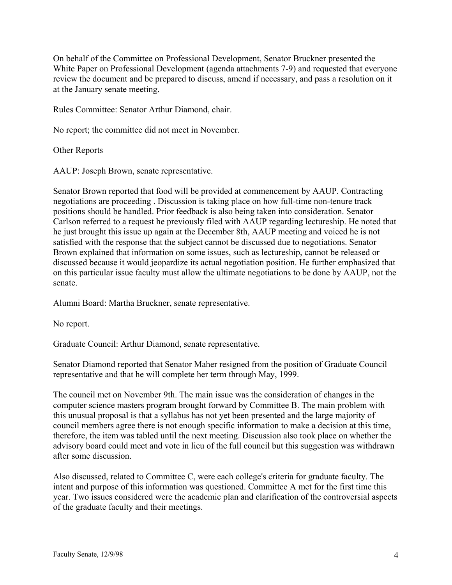On behalf of the Committee on Professional Development, Senator Bruckner presented the White Paper on Professional Development (agenda attachments 7-9) and requested that everyone review the document and be prepared to discuss, amend if necessary, and pass a resolution on it at the January senate meeting.

Rules Committee: Senator Arthur Diamond, chair.

No report; the committee did not meet in November.

Other Reports

AAUP: Joseph Brown, senate representative.

Senator Brown reported that food will be provided at commencement by AAUP. Contracting negotiations are proceeding . Discussion is taking place on how full-time non-tenure track positions should be handled. Prior feedback is also being taken into consideration. Senator Carlson referred to a request he previously filed with AAUP regarding lectureship. He noted that he just brought this issue up again at the December 8th, AAUP meeting and voiced he is not satisfied with the response that the subject cannot be discussed due to negotiations. Senator Brown explained that information on some issues, such as lectureship, cannot be released or discussed because it would jeopardize its actual negotiation position. He further emphasized that on this particular issue faculty must allow the ultimate negotiations to be done by AAUP, not the senate.

Alumni Board: Martha Bruckner, senate representative.

No report.

Graduate Council: Arthur Diamond, senate representative.

Senator Diamond reported that Senator Maher resigned from the position of Graduate Council representative and that he will complete her term through May, 1999.

The council met on November 9th. The main issue was the consideration of changes in the computer science masters program brought forward by Committee B. The main problem with this unusual proposal is that a syllabus has not yet been presented and the large majority of council members agree there is not enough specific information to make a decision at this time, therefore, the item was tabled until the next meeting. Discussion also took place on whether the advisory board could meet and vote in lieu of the full council but this suggestion was withdrawn after some discussion.

Also discussed, related to Committee C, were each college's criteria for graduate faculty. The intent and purpose of this information was questioned. Committee A met for the first time this year. Two issues considered were the academic plan and clarification of the controversial aspects of the graduate faculty and their meetings.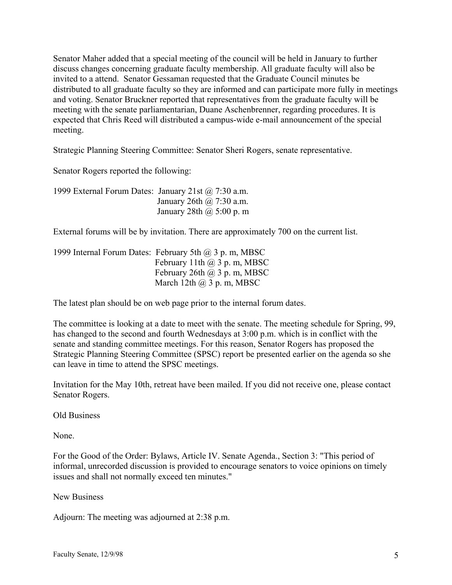Senator Maher added that a special meeting of the council will be held in January to further discuss changes concerning graduate faculty membership. All graduate faculty will also be invited to a attend. Senator Gessaman requested that the Graduate Council minutes be distributed to all graduate faculty so they are informed and can participate more fully in meetings and voting. Senator Bruckner reported that representatives from the graduate faculty will be meeting with the senate parliamentarian, Duane Aschenbrenner, regarding procedures. It is expected that Chris Reed will distributed a campus-wide e-mail announcement of the special meeting.

Strategic Planning Steering Committee: Senator Sheri Rogers, senate representative.

Senator Rogers reported the following:

| 1999 External Forum Dates: January 21st $\omega$ 7:30 a.m. |                                 |
|------------------------------------------------------------|---------------------------------|
|                                                            | January 26th $\omega$ 7:30 a.m. |
|                                                            | January 28th $\omega$ 5:00 p. m |

External forums will be by invitation. There are approximately 700 on the current list.

1999 Internal Forum Dates: February 5th @ 3 p. m, MBSC February 11th @ 3 p. m, MBSC February 26th  $(a)$  3 p.m, MBSC March 12th  $(a)$  3 p.m, MBSC

The latest plan should be on web page prior to the internal forum dates.

The committee is looking at a date to meet with the senate. The meeting schedule for Spring, 99, has changed to the second and fourth Wednesdays at 3:00 p.m. which is in conflict with the senate and standing committee meetings. For this reason, Senator Rogers has proposed the Strategic Planning Steering Committee (SPSC) report be presented earlier on the agenda so she can leave in time to attend the SPSC meetings.

Invitation for the May 10th, retreat have been mailed. If you did not receive one, please contact Senator Rogers.

Old Business

None.

For the Good of the Order: Bylaws, Article IV. Senate Agenda., Section 3: "This period of informal, unrecorded discussion is provided to encourage senators to voice opinions on timely issues and shall not normally exceed ten minutes."

New Business

Adjourn: The meeting was adjourned at 2:38 p.m.